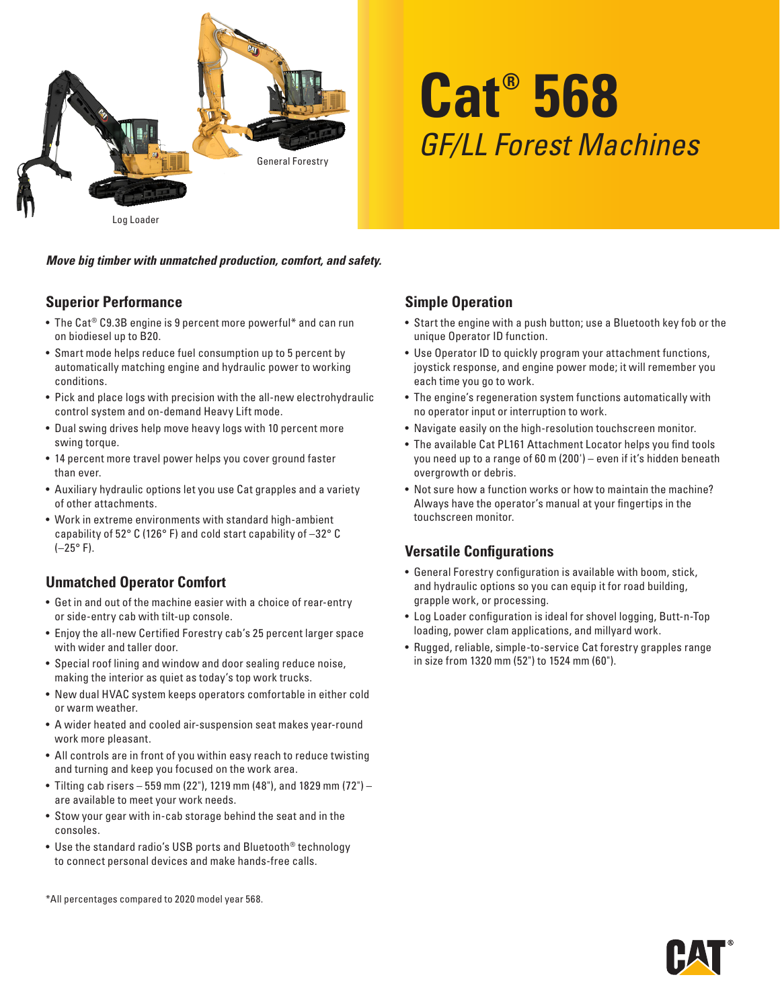

# **Cat® 568** *GF/LL Forest Machines*

*Move big timber with unmatched production, comfort, and safety.*

### **Superior Performance**

- The Cat® C9.3B engine is 9 percent more powerful\* and can run on biodiesel up to B20.
- Smart mode helps reduce fuel consumption up to 5 percent by automatically matching engine and hydraulic power to working conditions.
- Pick and place logs with precision with the all-new electrohydraulic control system and on-demand Heavy Lift mode.
- Dual swing drives help move heavy logs with 10 percent more swing torque.
- 14 percent more travel power helps you cover ground faster than ever.
- Auxiliary hydraulic options let you use Cat grapples and a variety of other attachments.
- Work in extreme environments with standard high-ambient capability of 52° C (126° F) and cold start capability of –32° C  $(-25° F)$ .

### **Unmatched Operator Comfort**

- Get in and out of the machine easier with a choice of rear-entry or side-entry cab with tilt-up console.
- Enjoy the all-new Certified Forestry cab's 25 percent larger space with wider and taller door.
- Special roof lining and window and door sealing reduce noise, making the interior as quiet as today's top work trucks.
- New dual HVAC system keeps operators comfortable in either cold or warm weather.
- A wider heated and cooled air-suspension seat makes year-round work more pleasant.
- All controls are in front of you within easy reach to reduce twisting and turning and keep you focused on the work area.
- Tilting cab risers 559 mm (22"), 1219 mm (48"), and 1829 mm (72") are available to meet your work needs.
- Stow your gear with in-cab storage behind the seat and in the consoles.
- Use the standard radio's USB ports and Bluetooth® technology to connect personal devices and make hands-free calls.

\*All percentages compared to 2020 model year 568.

### **Simple Operation**

- Start the engine with a push button; use a Bluetooth key fob or the unique Operator ID function.
- Use Operator ID to quickly program your attachment functions, joystick response, and engine power mode; it will remember you each time you go to work.
- The engine's regeneration system functions automatically with no operator input or interruption to work.
- Navigate easily on the high-resolution touchscreen monitor.
- The available Cat PL161 Attachment Locator helps you find tools you need up to a range of 60 m (200') – even if it's hidden beneath overgrowth or debris.
- Not sure how a function works or how to maintain the machine? Always have the operator's manual at your fingertips in the touchscreen monitor.

### **Versatile Configurations**

- General Forestry configuration is available with boom, stick, and hydraulic options so you can equip it for road building, grapple work, or processing.
- Log Loader configuration is ideal for shovel logging, Butt-n-Top loading, power clam applications, and millyard work.
- Rugged, reliable, simple-to-service Cat forestry grapples range in size from 1320 mm (52") to 1524 mm (60").

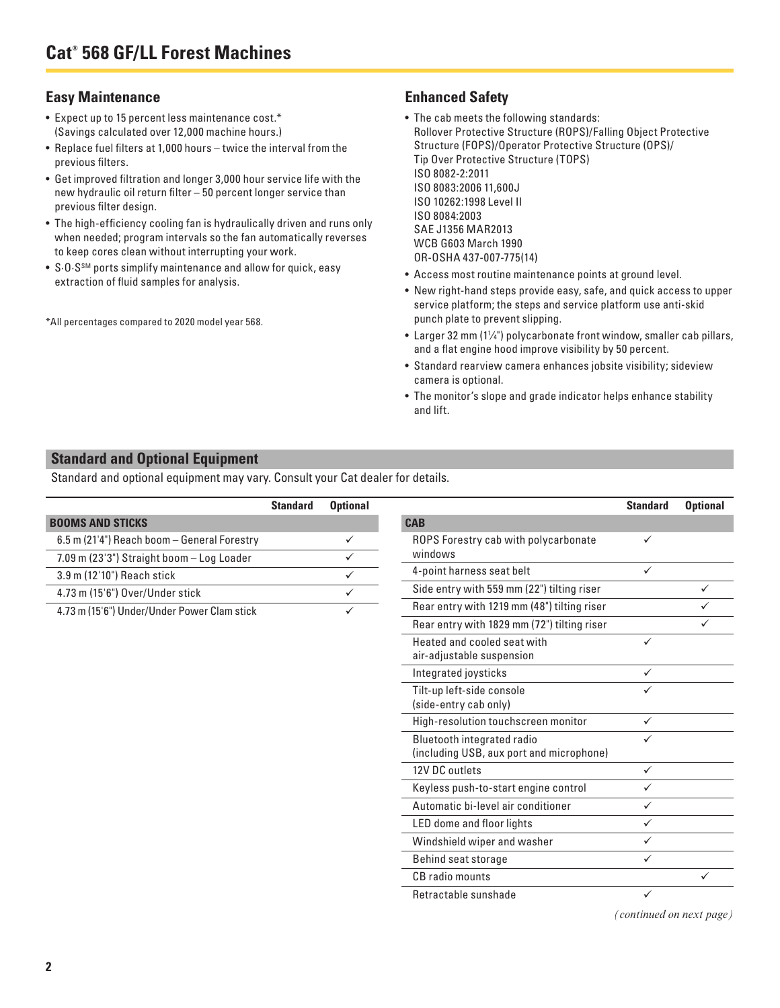#### **Easy Maintenance**

- Expect up to 15 percent less maintenance cost.\* (Savings calculated over 12,000 machine hours.)
- Replace fuel filters at 1,000 hours twice the interval from the previous filters.
- Get improved filtration and longer 3,000 hour service life with the new hydraulic oil return filter – 50 percent longer service than previous filter design.
- The high-efficiency cooling fan is hydraulically driven and runs only when needed; program intervals so the fan automatically reverses to keep cores clean without interrupting your work.
- S.O.S<sup>SM</sup> ports simplify maintenance and allow for quick, easy extraction of fluid samples for analysis.

\*All percentages compared to 2020 model year 568.

### **Enhanced Safety**

- The cab meets the following standards: Rollover Protective Structure (ROPS)/Falling Object Protective Structure (FOPS)/Operator Protective Structure (OPS)/ Tip Over Protective Structure (TOPS) ISO 8082-2:2011 ISO 8083:2006 11,600J ISO 10262:1998 Level II ISO 8084:2003 SAE J1356 MAR2013 WCB G603 March 1990 OR-OSHA 437-007-775(14)
- Access most routine maintenance points at ground level.
- New right-hand steps provide easy, safe, and quick access to upper service platform; the steps and service platform use anti-skid punch plate to prevent slipping.
- Larger 32 mm (11 ⁄4") polycarbonate front window, smaller cab pillars, and a flat engine hood improve visibility by 50 percent.
- Standard rearview camera enhances jobsite visibility; sideview camera is optional.
- The monitor's slope and grade indicator helps enhance stability and lift.

### **Standard and Optional Equipment**

Standard and optional equipment may vary. Consult your Cat dealer for details.

|                                             | <b>Standard</b> | <b>Optional</b> |
|---------------------------------------------|-----------------|-----------------|
| <b>BOOMS AND STICKS</b>                     |                 |                 |
| 6.5 m (21'4") Reach boom - General Forestry |                 |                 |
| 7.09 m (23'3") Straight boom - Log Loader   |                 |                 |
| 3.9 m (12'10") Reach stick                  |                 |                 |
| 4.73 m (15'6") Over/Under stick             |                 |                 |
| 4.73 m (15'6") Under/Under Power Clam stick |                 |                 |
|                                             |                 |                 |

|                                                                        | <b>Standard</b> | <b>Optional</b> |
|------------------------------------------------------------------------|-----------------|-----------------|
| <b>CAB</b>                                                             |                 |                 |
| ROPS Forestry cab with polycarbonate<br>windows                        | ✓               |                 |
| 4-point harness seat belt                                              |                 |                 |
| Side entry with 559 mm (22") tilting riser                             |                 | ✓               |
| Rear entry with 1219 mm (48") tilting riser                            |                 |                 |
| Rear entry with 1829 mm (72") tilting riser                            |                 |                 |
| Heated and cooled seat with<br>air-adjustable suspension               | ✓               |                 |
| Integrated joysticks                                                   | ✓               |                 |
| Tilt-up left-side console<br>(side-entry cab only)                     |                 |                 |
| High-resolution touchscreen monitor                                    | ✓               |                 |
| Bluetooth integrated radio<br>(including USB, aux port and microphone) |                 |                 |
| 12V DC outlets                                                         | ✓               |                 |
| Keyless push-to-start engine control                                   | ✓               |                 |
| Automatic bi-level air conditioner                                     |                 |                 |
| LED dome and floor lights                                              | ✓               |                 |
| Windshield wiper and washer                                            |                 |                 |
| Behind seat storage                                                    |                 |                 |
| CB radio mounts                                                        |                 |                 |
| Retractable sunshade                                                   | ✓               |                 |

*(continued on next page)*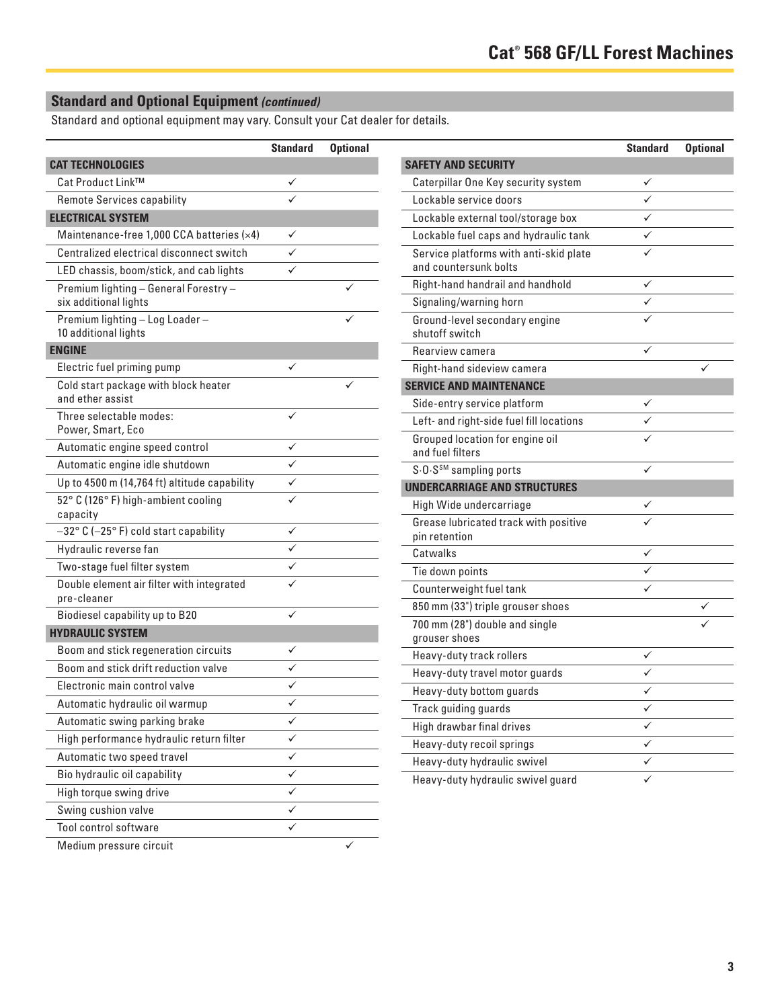## **Standard and Optional Equipment** *(continued)*

Standard and optional equipment may vary. Consult your Cat dealer for details.

|                                                                | <b>Standard</b> | <b>Optional</b> |
|----------------------------------------------------------------|-----------------|-----------------|
| <b>CAT TECHNOLOGIES</b>                                        |                 |                 |
| Cat Product Link™                                              |                 |                 |
| <b>Remote Services capability</b>                              |                 |                 |
| <b>ELECTRICAL SYSTEM</b>                                       |                 |                 |
| Maintenance-free 1,000 CCA batteries (x4)                      | ✓               |                 |
| Centralized electrical disconnect switch                       | ✓               |                 |
| LED chassis, boom/stick, and cab lights                        |                 |                 |
| Premium lighting - General Forestry -<br>six additional lights |                 |                 |
| Premium lighting - Log Loader -<br>10 additional lights        |                 |                 |
| <b>ENGINE</b>                                                  |                 |                 |
| Electric fuel priming pump                                     | ✓               |                 |
| Cold start package with block heater<br>and ether assist       |                 |                 |
| Three selectable modes:<br>Power, Smart, Eco                   |                 |                 |
| Automatic engine speed control                                 | ✓               |                 |
| Automatic engine idle shutdown                                 | ✓               |                 |
| Up to 4500 m (14,764 ft) altitude capability                   | ✓               |                 |
| 52° C (126° F) high-ambient cooling<br>capacity                |                 |                 |
| -32° C (-25° F) cold start capability                          | ✓               |                 |
| Hydraulic reverse fan                                          |                 |                 |
| Two-stage fuel filter system                                   |                 |                 |
| Double element air filter with integrated<br>pre-cleaner       |                 |                 |
| Biodiesel capability up to B20                                 | ✓               |                 |
| <b>HYDRAULIC SYSTEM</b>                                        |                 |                 |
| Boom and stick regeneration circuits                           | ✓               |                 |
| Boom and stick drift reduction valve                           |                 |                 |
| Electronic main control valve                                  |                 |                 |
| Automatic hydraulic oil warmup                                 |                 |                 |
| Automatic swing parking brake                                  | ✓               |                 |
| High performance hydraulic return filter                       | ✓               |                 |
| Automatic two speed travel                                     | ✓               |                 |
| Bio hydraulic oil capability                                   | ✓               |                 |
| High torque swing drive                                        | ✓               |                 |
| Swing cushion valve                                            | ✓               |                 |
| Tool control software                                          |                 |                 |
| Medium pressure circuit                                        |                 |                 |

|                                                                 | <b>Standard</b> | <b>Optional</b> |
|-----------------------------------------------------------------|-----------------|-----------------|
| <b>SAFETY AND SECURITY</b>                                      |                 |                 |
| Caterpillar One Key security system                             |                 |                 |
| Lockable service doors                                          |                 |                 |
| Lockable external tool/storage box                              |                 |                 |
| Lockable fuel caps and hydraulic tank                           |                 |                 |
| Service platforms with anti-skid plate<br>and countersunk bolts |                 |                 |
| Right-hand handrail and handhold                                |                 |                 |
| Signaling/warning horn                                          | ✓               |                 |
| Ground-level secondary engine<br>shutoff switch                 |                 |                 |
| Rearview camera                                                 |                 |                 |
| Right-hand sideview camera                                      |                 |                 |
| <b>SERVICE AND MAINTENANCE</b>                                  |                 |                 |
| Side-entry service platform                                     |                 |                 |
| Left- and right-side fuel fill locations                        |                 |                 |
| Grouped location for engine oil<br>and fuel filters             |                 |                 |
| S.O.S <sup>SM</sup> sampling ports                              |                 |                 |
| UNDERCARRIAGE AND STRUCTURES                                    |                 |                 |
| High Wide undercarriage                                         |                 |                 |
| Grease lubricated track with positive<br>pin retention          |                 |                 |
| Catwalks                                                        |                 |                 |
| Tie down points                                                 |                 |                 |
| Counterweight fuel tank                                         |                 |                 |
| 850 mm (33") triple grouser shoes                               |                 |                 |
| 700 mm (28") double and single<br>grouser shoes                 |                 |                 |
| Heavy-duty track rollers                                        |                 |                 |
| Heavy-duty travel motor guards                                  |                 |                 |
| Heavy-duty bottom guards                                        | ✓               |                 |
| Track guiding guards                                            | ✓               |                 |
| High drawbar final drives                                       | ✓               |                 |
| Heavy-duty recoil springs                                       | ✓               |                 |
| Heavy-duty hydraulic swivel                                     | ✓               |                 |
| Heavy-duty hydraulic swivel guard                               |                 |                 |